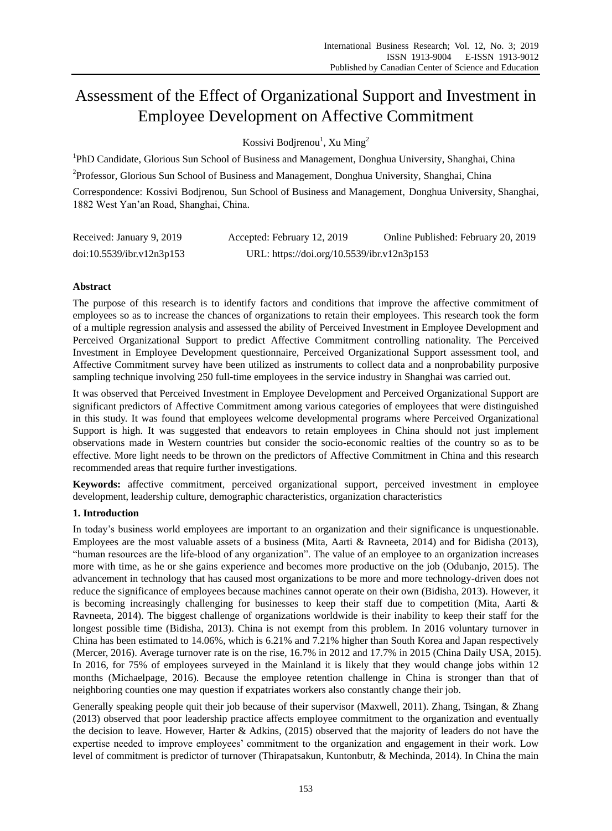# Assessment of the Effect of Organizational Support and Investment in Employee Development on Affective Commitment

Kossivi Bodjrenou<sup>1</sup>, Xu Ming<sup>2</sup>

<sup>1</sup>PhD Candidate, Glorious Sun School of Business and Management, Donghua University, Shanghai, China

<sup>2</sup>Professor, Glorious Sun School of Business and Management, Donghua University, Shanghai, China

Correspondence: Kossivi Bodjrenou, Sun School of Business and Management, Donghua University, Shanghai, 1882 West Yan'an Road, Shanghai, China.

| Received: January 9, 2019 | Accepted: February 12, 2019                | Online Published: February 20, 2019 |
|---------------------------|--------------------------------------------|-------------------------------------|
| doi:10.5539/ibr.v12n3p153 | URL: https://doi.org/10.5539/ibr.v12n3p153 |                                     |

# **Abstract**

The purpose of this research is to identify factors and conditions that improve the affective commitment of employees so as to increase the chances of organizations to retain their employees. This research took the form of a multiple regression analysis and assessed the ability of Perceived Investment in Employee Development and Perceived Organizational Support to predict Affective Commitment controlling nationality. The Perceived Investment in Employee Development questionnaire, Perceived Organizational Support assessment tool, and Affective Commitment survey have been utilized as instruments to collect data and a nonprobability purposive sampling technique involving 250 full-time employees in the service industry in Shanghai was carried out.

It was observed that Perceived Investment in Employee Development and Perceived Organizational Support are significant predictors of Affective Commitment among various categories of employees that were distinguished in this study. It was found that employees welcome developmental programs where Perceived Organizational Support is high. It was suggested that endeavors to retain employees in China should not just implement observations made in Western countries but consider the socio-economic realties of the country so as to be effective. More light needs to be thrown on the predictors of Affective Commitment in China and this research recommended areas that require further investigations.

**Keywords:** affective commitment, perceived organizational support, perceived investment in employee development, leadership culture, demographic characteristics, organization characteristics

# **1. Introduction**

In today's business world employees are important to an organization and their significance is unquestionable. Employees are the most valuable assets of a business (Mita, Aarti & Ravneeta, 2014) and for Bidisha (2013), "human resources are the life-blood of any organization". The value of an employee to an organization increases more with time, as he or she gains experience and becomes more productive on the job (Odubanjo, 2015). The advancement in technology that has caused most organizations to be more and more technology-driven does not reduce the significance of employees because machines cannot operate on their own (Bidisha, 2013). However, it is becoming increasingly challenging for businesses to keep their staff due to competition (Mita, Aarti & Ravneeta, 2014). The biggest challenge of organizations worldwide is their inability to keep their staff for the longest possible time (Bidisha, 2013). China is not exempt from this problem. In 2016 voluntary turnover in China has been estimated to 14.06%, which is 6.21% and 7.21% higher than South Korea and Japan respectively (Mercer, 2016). Average turnover rate is on the rise, 16.7% in 2012 and 17.7% in 2015 (China Daily USA, 2015). In 2016, for 75% of employees surveyed in the Mainland it is likely that they would change jobs within 12 months (Michaelpage, 2016). Because the employee retention challenge in China is stronger than that of neighboring counties one may question if expatriates workers also constantly change their job.

Generally speaking people quit their job because of their supervisor (Maxwell, 2011). Zhang, Tsingan, & Zhang (2013) observed that poor leadership practice affects employee commitment to the organization and eventually the decision to leave. However, Harter & Adkins, (2015) observed that the majority of leaders do not have the expertise needed to improve employees' commitment to the organization and engagement in their work. Low level of commitment is predictor of turnover (Thirapatsakun, Kuntonbutr, & Mechinda, 2014). In China the main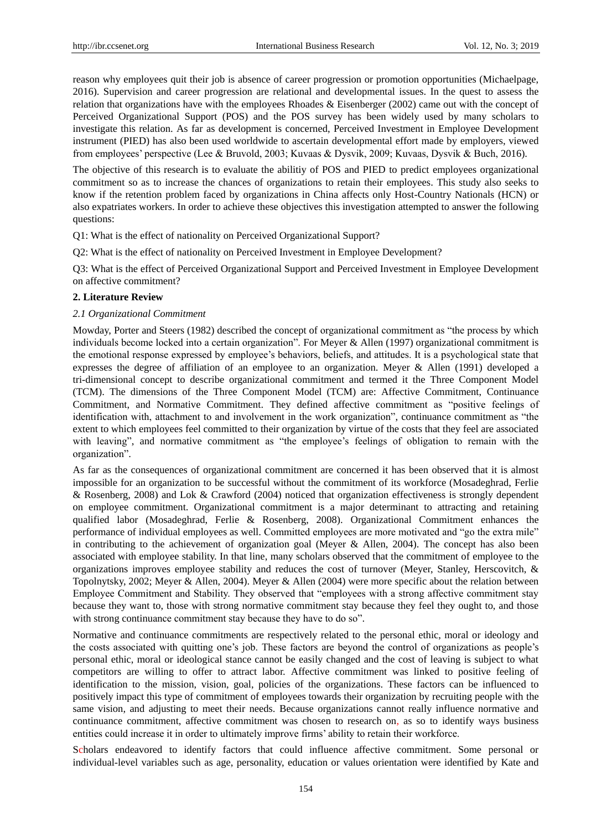reason why employees quit their job is absence of career progression or promotion opportunities (Michaelpage, 2016). Supervision and career progression are relational and developmental issues. In the quest to assess the relation that organizations have with the employees Rhoades & Eisenberger (2002) came out with the concept of Perceived Organizational Support (POS) and the POS survey has been widely used by many scholars to investigate this relation. As far as development is concerned, Perceived Investment in Employee Development instrument (PIED) has also been used worldwide to ascertain developmental effort made by employers, viewed from employees' perspective (Lee & Bruvold, 2003; Kuvaas & Dysvik, 2009; Kuvaas, Dysvik & Buch, 2016).

The objective of this research is to evaluate the abilitiy of POS and PIED to predict employees organizational commitment so as to increase the chances of organizations to retain their employees. This study also seeks to know if the retention problem faced by organizations in China affects only Host-Country Nationals (HCN) or also expatriates workers. In order to achieve these objectives this investigation attempted to answer the following questions:

Q1: What is the effect of nationality on Perceived Organizational Support?

Q2: What is the effect of nationality on Perceived Investment in Employee Development?

Q3: What is the effect of Perceived Organizational Support and Perceived Investment in Employee Development on affective commitment?

# **2. Literature Review**

# *2.1 Organizational Commitment*

Mowday, Porter and Steers (1982) described the concept of organizational commitment as "the process by which individuals become locked into a certain organization". For Meyer & Allen (1997) organizational commitment is the emotional response expressed by employee's behaviors, beliefs, and attitudes. It is a psychological state that expresses the degree of affiliation of an employee to an organization. Meyer & Allen (1991) developed a tri-dimensional concept to describe organizational commitment and termed it the Three Component Model (TCM). The dimensions of the Three Component Model (TCM) are: Affective Commitment, Continuance Commitment, and Normative Commitment. They defined affective commitment as "positive feelings of identification with, attachment to and involvement in the work organization", continuance commitment as "the extent to which employees feel committed to their organization by virtue of the costs that they feel are associated with leaving", and normative commitment as "the employee's feelings of obligation to remain with the organization".

As far as the consequences of organizational commitment are concerned it has been observed that it is almost impossible for an organization to be successful without the commitment of its workforce (Mosadeghrad, Ferlie & Rosenberg, 2008) and Lok & Crawford (2004) noticed that organization effectiveness is strongly dependent on employee commitment. Organizational commitment is a major determinant to attracting and retaining qualified labor (Mosadeghrad, Ferlie & Rosenberg, 2008). Organizational Commitment enhances the performance of individual employees as well. Committed employees are more motivated and "go the extra mile" in contributing to the achievement of organization goal (Meyer & Allen, 2004). The concept has also been associated with employee stability. In that line, many scholars observed that the commitment of employee to the organizations improves employee stability and reduces the cost of turnover (Meyer, Stanley, Herscovitch, & Topolnytsky, 2002; Meyer & Allen, 2004). Meyer & Allen (2004) were more specific about the relation between Employee Commitment and Stability. They observed that "employees with a strong affective commitment stay because they want to, those with strong normative commitment stay because they feel they ought to, and those with strong continuance commitment stay because they have to do so".

Normative and continuance commitments are respectively related to the personal ethic, moral or ideology and the costs associated with quitting one's job. These factors are beyond the control of organizations as people's personal ethic, moral or ideological stance cannot be easily changed and the cost of leaving is subject to what competitors are willing to offer to attract labor. Affective commitment was linked to positive feeling of identification to the mission, vision, goal, policies of the organizations. These factors can be influenced to positively impact this type of commitment of employees towards their organization by recruiting people with the same vision, and adjusting to meet their needs. Because organizations cannot really influence normative and continuance commitment, affective commitment was chosen to research on, as so to identify ways business entities could increase it in order to ultimately improve firms' ability to retain their workforce.

Scholars endeavored to identify factors that could influence affective commitment. Some personal or individual-level variables such as age, personality, education or values orientation were identified by Kate and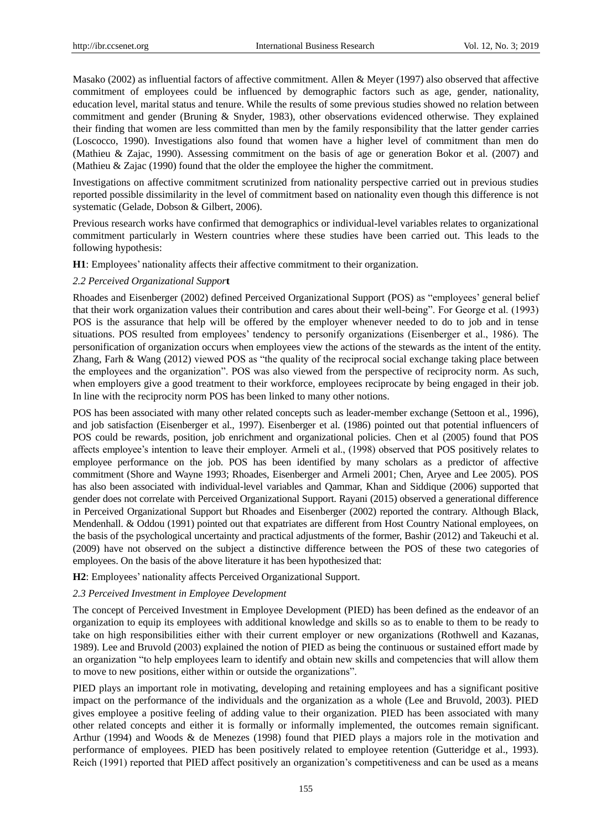Masako (2002) as influential factors of affective commitment. Allen & Meyer (1997) also observed that affective commitment of employees could be influenced by demographic factors such as age, gender, nationality, education level, marital status and tenure. While the results of some previous studies showed no relation between commitment and gender (Bruning & Snyder, 1983), other observations evidenced otherwise. They explained their finding that women are less committed than men by the family responsibility that the latter gender carries (Loscocco, 1990). Investigations also found that women have a higher level of commitment than men do (Mathieu & Zajac, 1990). Assessing commitment on the basis of age or generation Bokor et al. (2007) and (Mathieu & Zajac (1990) found that the older the employee the higher the commitment.

Investigations on affective commitment scrutinized from nationality perspective carried out in previous studies reported possible dissimilarity in the level of commitment based on nationality even though this difference is not systematic (Gelade, Dobson & Gilbert, 2006).

Previous research works have confirmed that demographics or individual-level variables relates to organizational commitment particularly in Western countries where these studies have been carried out. This leads to the following hypothesis:

**H1**: Employees' nationality affects their affective commitment to their organization.

# *2.2 Perceived Organizational Suppor***t**

Rhoades and Eisenberger (2002) defined Perceived Organizational Support (POS) as "employees' general belief that their work organization values their contribution and cares about their well-being". For George et al. (1993) POS is the assurance that help will be offered by the employer whenever needed to do to job and in tense situations. POS resulted from employees' tendency to personify organizations (Eisenberger et al., 1986). The personification of organization occurs when employees view the actions of the stewards as the intent of the entity. Zhang, Farh & Wang (2012) viewed POS as "the quality of the reciprocal social exchange taking place between the employees and the organization". POS was also viewed from the perspective of reciprocity norm. As such, when employers give a good treatment to their workforce, employees reciprocate by being engaged in their job. In line with the reciprocity norm POS has been linked to many other notions.

POS has been associated with many other related concepts such as leader-member exchange (Settoon et al., 1996), and job satisfaction (Eisenberger et al., 1997). Eisenberger et al. (1986) pointed out that potential influencers of POS could be rewards, position, job enrichment and organizational policies. Chen et al (2005) found that POS affects employee's intention to leave their employer. Armeli et al., (1998) observed that POS positively relates to employee performance on the job. POS has been identified by many scholars as a predictor of affective commitment (Shore and Wayne 1993; Rhoades, Eisenberger and Armeli 2001; Chen, Aryee and Lee 2005). POS has also been associated with individual-level variables and Qammar, Khan and Siddique (2006) supported that gender does not correlate with Perceived Organizational Support. Rayani (2015) observed a generational difference in Perceived Organizational Support but Rhoades and Eisenberger (2002) reported the contrary. Although Black, Mendenhall. & Oddou (1991) pointed out that expatriates are different from Host Country National employees, on the basis of the psychological uncertainty and practical adjustments of the former, Bashir (2012) and Takeuchi et al. (2009) have not observed on the subject a distinctive difference between the POS of these two categories of employees. On the basis of the above literature it has been hypothesized that:

**H2**: Employees' nationality affects Perceived Organizational Support.

## *2.3 Perceived Investment in Employee Development*

The concept of Perceived Investment in Employee Development (PIED) has been defined as the endeavor of an organization to equip its employees with additional knowledge and skills so as to enable to them to be ready to take on high responsibilities either with their current employer or new organizations (Rothwell and Kazanas, 1989). Lee and Bruvold (2003) explained the notion of PIED as being the continuous or sustained effort made by an organization "to help employees learn to identify and obtain new skills and competencies that will allow them to move to new positions, either within or outside the organizations".

PIED plays an important role in motivating, developing and retaining employees and has a significant positive impact on the performance of the individuals and the organization as a whole (Lee and Bruvold, 2003). PIED gives employee a positive feeling of adding value to their organization. PIED has been associated with many other related concepts and either it is formally or informally implemented, the outcomes remain significant. Arthur (1994) and Woods & de Menezes (1998) found that PIED plays a majors role in the motivation and performance of employees. PIED has been positively related to employee retention (Gutteridge et al., 1993). Reich (1991) reported that PIED affect positively an organization's competitiveness and can be used as a means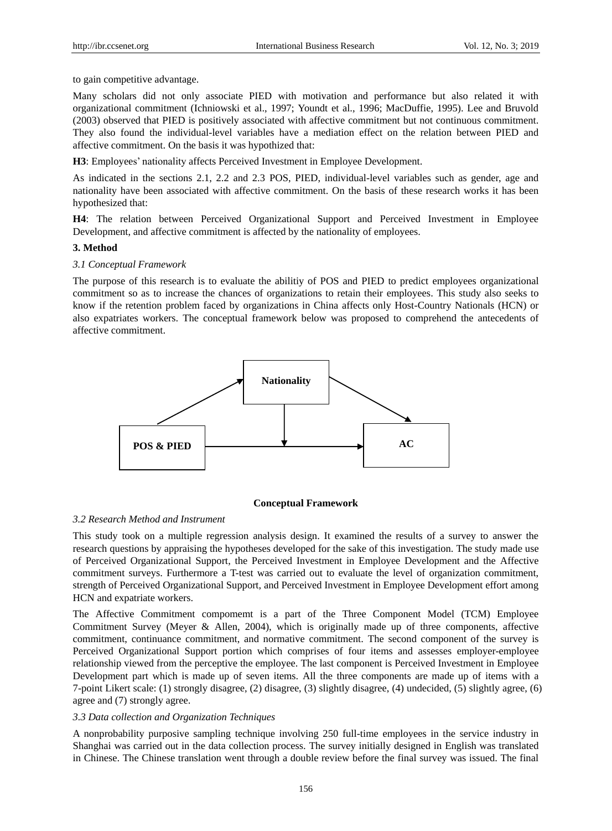to gain competitive advantage.

Many scholars did not only associate PIED with motivation and performance but also related it with organizational commitment (Ichniowski et al., 1997; Youndt et al., 1996; MacDuffie, 1995). Lee and Bruvold (2003) observed that PIED is positively associated with affective commitment but not continuous commitment. They also found the individual-level variables have a mediation effect on the relation between PIED and affective commitment. On the basis it was hypothized that:

**H3**: Employees' nationality affects Perceived Investment in Employee Development.

As indicated in the sections 2.1, 2.2 and 2.3 POS, PIED, individual-level variables such as gender, age and nationality have been associated with affective commitment. On the basis of these research works it has been hypothesized that:

**H4**: The relation between Perceived Organizational Support and Perceived Investment in Employee Development, and affective commitment is affected by the nationality of employees.

#### **3. Method**

#### *3.1 Conceptual Framework*

The purpose of this research is to evaluate the abilitiy of POS and PIED to predict employees organizational commitment so as to increase the chances of organizations to retain their employees. This study also seeks to know if the retention problem faced by organizations in China affects only Host-Country Nationals (HCN) or also expatriates workers. The conceptual framework below was proposed to comprehend the antecedents of affective commitment.



#### **Conceptual Framework**

#### *3.2 Research Method and Instrument*

This study took on a multiple regression analysis design. It examined the results of a survey to answer the research questions by appraising the hypotheses developed for the sake of this investigation. The study made use of Perceived Organizational Support, the Perceived Investment in Employee Development and the Affective commitment surveys. Furthermore a T-test was carried out to evaluate the level of organization commitment, strength of Perceived Organizational Support, and Perceived Investment in Employee Development effort among HCN and expatriate workers.

The Affective Commitment compomemt is a part of the Three Component Model (TCM) Employee Commitment Survey (Meyer & Allen, 2004), which is originally made up of three components, affective commitment, continuance commitment, and normative commitment. The second component of the survey is Perceived Organizational Support portion which comprises of four items and assesses employer-employee relationship viewed from the perceptive the employee. The last component is Perceived Investment in Employee Development part which is made up of seven items. All the three components are made up of items with a 7-point Likert scale: (1) strongly disagree, (2) disagree, (3) slightly disagree, (4) undecided, (5) slightly agree, (6) agree and (7) strongly agree.

#### *3.3 Data collection and Organization Techniques*

A nonprobability purposive sampling technique involving 250 full-time employees in the service industry in Shanghai was carried out in the data collection process. The survey initially designed in English was translated in Chinese. The Chinese translation went through a double review before the final survey was issued. The final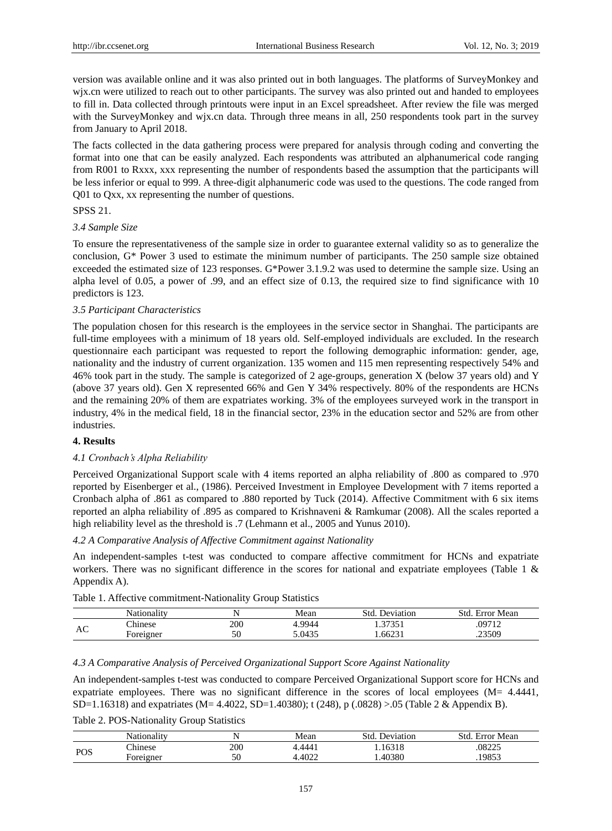version was available online and it was also printed out in both languages. The platforms of SurveyMonkey and wix.cn were utilized to reach out to other participants. The survey was also printed out and handed to employees to fill in. Data collected through printouts were input in an Excel spreadsheet. After review the file was merged with the SurveyMonkey and wix.cn data. Through three means in all, 250 respondents took part in the survey from January to April 2018.

The facts collected in the data gathering process were prepared for analysis through coding and converting the format into one that can be easily analyzed. Each respondents was attributed an alphanumerical code ranging from R001 to Rxxx, xxx representing the number of respondents based the assumption that the participants will be less inferior or equal to 999. A three-digit alphanumeric code was used to the questions. The code ranged from Q01 to Qxx, xx representing the number of questions.

# SPSS 21.

#### *3.4 Sample Size*

To ensure the representativeness of the sample size in order to guarantee external validity so as to generalize the conclusion, G\* Power 3 used to estimate the minimum number of participants. The 250 sample size obtained exceeded the estimated size of 123 responses. G\*Power 3.1.9.2 was used to determine the sample size. Using an alpha level of 0.05, a power of .99, and an effect size of 0.13, the required size to find significance with 10 predictors is 123.

#### *3.5 Participant Characteristics*

The population chosen for this research is the employees in the service sector in Shanghai. The participants are full-time employees with a minimum of 18 years old. Self-employed individuals are excluded. In the research questionnaire each participant was requested to report the following demographic information: gender, age, nationality and the industry of current organization. 135 women and 115 men representing respectively 54% and 46% took part in the study. The sample is categorized of 2 age-groups, generation X (below 37 years old) and Y (above 37 years old). Gen X represented 66% and Gen Y 34% respectively. 80% of the respondents are HCNs and the remaining 20% of them are expatriates working. 3% of the employees surveyed work in the transport in industry, 4% in the medical field, 18 in the financial sector, 23% in the education sector and 52% are from other industries.

#### **4. Results**

## *4.1 Cronbach's Alpha Reliability*

Perceived Organizational Support scale with 4 items reported an alpha reliability of .800 as compared to .970 reported by Eisenberger et al., (1986). Perceived Investment in Employee Development with 7 items reported a Cronbach alpha of .861 as compared to .880 reported by Tuck (2014). Affective Commitment with 6 six items reported an alpha reliability of .895 as compared to Krishnaveni & Ramkumar (2008). All the scales reported a high reliability level as the threshold is .7 (Lehmann et al., 2005 and Yunus 2010).

# *4.2 A Comparative Analysis of Affective Commitment against Nationality*

An independent-samples t-test was conducted to compare affective commitment for HCNs and expatriate workers. There was no significant difference in the scores for national and expatriate employees (Table 1 & Appendix A).

|    | Allonality is   |     | Mean   | Std<br>Deviation | Std<br>Mean<br>Error |
|----|-----------------|-----|--------|------------------|----------------------|
|    | $\gamma$ hinese | 200 | 994    | 2725<br>.        | 00712                |
| AC | oreigner        | 50  | 5.0435 | 1.66231          | 23509                |

Table 1. Affective commitment-Nationality Group Statistics

#### *4.3 A Comparative Analysis of Perceived Organizational Support Score Against Nationality*

An independent-samples t-test was conducted to compare Perceived Organizational Support score for HCNs and expatriate employees. There was no significant difference in the scores of local employees (M= 4.4441, SD=1.16318) and expatriates (M= 4.4022, SD=1.40380); t (248), p (.0828) >.05 (Table 2 & Appendix B).

# Table 2. POS-Nationality Group Statistics

|           | $\cdot$ $\cdot$<br>$\sim$ $\sim$<br>lationality |     | Mean                     | Stc<br>Deviation | Std<br>Mean<br>∹rror |
|-----------|-------------------------------------------------|-----|--------------------------|------------------|----------------------|
| $D\Omega$ | $\sim$ $\sim$<br>:hinese                        | 200 | $\Delta \Delta \Delta^*$ | 6218<br>'ΙC      | .08225               |
| rud       | Foreigner                                       | 50  | 4.4022                   | 40380            | .1985?               |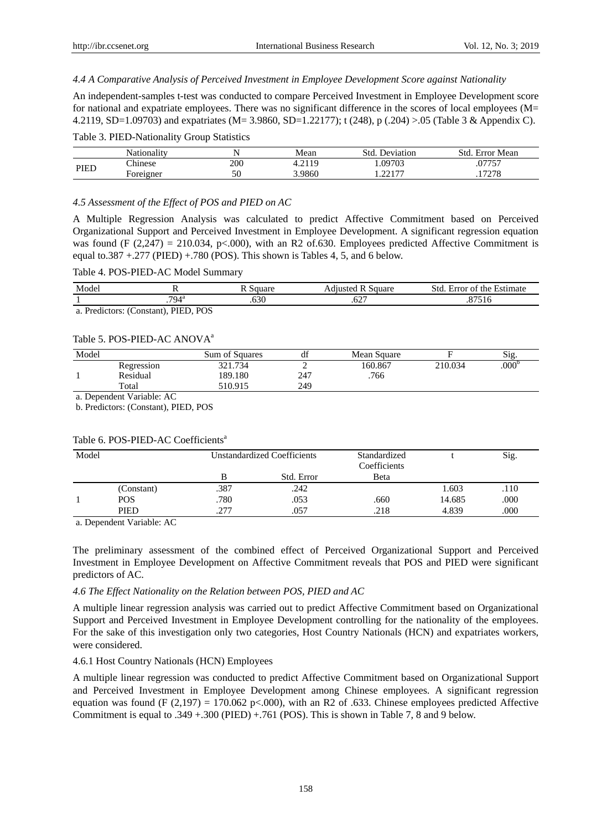# *4.4 A Comparative Analysis of Perceived Investment in Employee Development Score against Nationality*

An independent-samples t-test was conducted to compare Perceived Investment in Employee Development score for national and expatriate employees. There was no significant difference in the scores of local employees (M= 4.2119, SD=1.09703) and expatriates (M= 3.9860, SD=1.22177); t (248), p (.204) >.05 (Table 3 & Appendix C).

# Table 3. PIED-Nationality Group Statistics

|      | $\cdot$ $\cdot$<br>Jotsono lstv | - - | Mean                  | Std.<br>Jeviation | Stc<br>Mean<br>Hrr∩r  |
|------|---------------------------------|-----|-----------------------|-------------------|-----------------------|
| PIED | <sup>Th</sup> inese             | 200 | 10<br>$\mathbf{\sim}$ | .09703            | .07757                |
|      | $\blacksquare$<br>Foreigner     | 50  | 3.9860                | 0.177<br>.        | 1707C<br>$1 \leq 1$ O |

# *4.5 Assessment of the Effect of POS and PIED on AC*

A Multiple Regression Analysis was calculated to predict Affective Commitment based on Perceived Organizational Support and Perceived Investment in Employee Development. A significant regression equation was found (F  $(2.247) = 210.034$ , p<.000), with an R2 of.630. Employees predicted Affective Commitment is equal to.387  $+.277$  (PIED)  $+.780$  (POS). This shown is Tables 4, 5, and 6 below.

# Table 4. POS-PIED-AC Model Summary

| Model |                                      | Square | <b>Adiusted R Square</b> | Std. Error of the Estimate |
|-------|--------------------------------------|--------|--------------------------|----------------------------|
|       | $794^{\rm a}$                        | 630    | הרי<br>.OZ.              | 87516                      |
|       | a. Predictors: (Constant), PIED, POS |        |                          |                            |

# Table 5. POS-PIED-AC ANOVA<sup>a</sup>

| Model |            | Sum of Squares | $\mathbf{r}$<br>đÌ | Mean Square |         | Sig.              |
|-------|------------|----------------|--------------------|-------------|---------|-------------------|
|       | Regression | 321.734        |                    | 160.867     | 210.034 | .000 <sup>E</sup> |
|       | Residual   | 189.180        | 247                | .766        |         |                   |
|       | Total      | 510.915        | 249                |             |         |                   |

a. Dependent Variable: AC

b. Predictors: (Constant), PIED, POS

# Table 6. POS-PIED-AC Coefficients<sup>a</sup>

| Model |            |      | <b>Unstandardized Coefficients</b> | Standardized<br>Coefficients |        | Sig. |
|-------|------------|------|------------------------------------|------------------------------|--------|------|
|       |            |      | Std. Error                         | Beta                         |        |      |
|       | (Constant) | .387 | .242                               |                              | 1.603  | .110 |
|       | <b>POS</b> | .780 | .053                               | .660                         | 14.685 | .000 |
|       | PIED       | .277 | .057                               | .218                         | 4.839  | .000 |

a. Dependent Variable: AC

The preliminary assessment of the combined effect of Perceived Organizational Support and Perceived Investment in Employee Development on Affective Commitment reveals that POS and PIED were significant predictors of AC.

#### *4.6 The Effect Nationality on the Relation between POS, PIED and AC*

A multiple linear regression analysis was carried out to predict Affective Commitment based on Organizational Support and Perceived Investment in Employee Development controlling for the nationality of the employees. For the sake of this investigation only two categories, Host Country Nationals (HCN) and expatriates workers, were considered.

# 4.6.1 Host Country Nationals (HCN) Employees

A multiple linear regression was conducted to predict Affective Commitment based on Organizational Support and Perceived Investment in Employee Development among Chinese employees. A significant regression equation was found (F  $(2,197) = 170.062$  p<.000), with an R2 of .633. Chinese employees predicted Affective Commitment is equal to .349 +.300 (PIED) +.761 (POS). This is shown in Table 7, 8 and 9 below.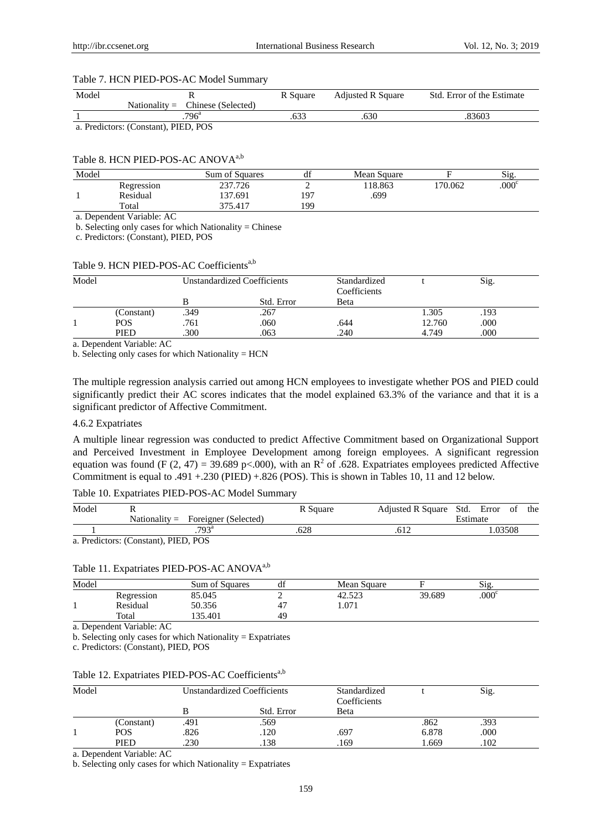# Table 7. HCN PIED-POS-AC Model Summary

| Model |                                       | R Square | <b>Adjusted R Square</b> | Std. Error of the Estimate |
|-------|---------------------------------------|----------|--------------------------|----------------------------|
|       | Nationality $=$<br>Chinese (Selected) |          |                          |                            |
|       | .796 <sup>a</sup>                     | 633      | .630                     | .83603                     |
|       | a. Predictors: (Constant), PIED, POS  |          |                          |                            |

# Table 8. HCN PIED-POS-AC ANOVA<sup>a,b</sup>

| Model |            | Sum of Squares | . .<br>đÌ | Mean Square |         | Sig.           |
|-------|------------|----------------|-----------|-------------|---------|----------------|
|       | Regression | 237.726        |           | 118.863     | 170.062 | $.000^{\circ}$ |
|       | Residual   | 137.691        | 197       | .699        |         |                |
|       | Total      | 375.417        | 199       |             |         |                |

a. Dependent Variable: AC

b. Selecting only cases for which Nationality = Chinese

c. Predictors: (Constant), PIED, POS

#### Table 9. HCN PIED-POS-AC Coefficients<sup>a,b</sup>

| Model |             |      | <b>Unstandardized Coefficients</b> | Standardized<br>Coefficients |        | Sig. |
|-------|-------------|------|------------------------------------|------------------------------|--------|------|
|       |             |      | Std. Error                         | Beta                         |        |      |
|       | (Constant)  | .349 | .267                               |                              | 1.305  | .193 |
|       | <b>POS</b>  | .761 | .060                               | .644                         | 12.760 | .000 |
|       | <b>PIED</b> | .300 | .063                               | .240                         | 4.749  | .000 |

a. Dependent Variable: AC

b. Selecting only cases for which Nationality = HCN

The multiple regression analysis carried out among HCN employees to investigate whether POS and PIED could significantly predict their AC scores indicates that the model explained 63.3% of the variance and that it is a significant predictor of Affective Commitment.

# 4.6.2 Expatriates

A multiple linear regression was conducted to predict Affective Commitment based on Organizational Support and Perceived Investment in Employee Development among foreign employees. A significant regression equation was found (F (2, 47) = 39.689 p < 000), with an  $R^2$  of .628. Expatriates employees predicted Affective Commitment is equal to .491 +.230 (PIED) +.826 (POS). This is shown in Tables 10, 11 and 12 below.

# Table 10. Expatriates PIED-POS-AC Model Summary

| Model         |                                                     | Square | <b>Adjusted R Square</b> | Error<br>Std. | the<br>οt |
|---------------|-----------------------------------------------------|--------|--------------------------|---------------|-----------|
|               | Foreigner (Selected)<br>Nationality $=$             |        |                          | Estimate      |           |
|               | .793 <sup>a</sup>                                   | .628   |                          | .03508        |           |
| $\sim$ $\sim$ | $\sim$ $\sim$ $\sim$ $\sim$ $\sim$ $\sim$<br>$\sim$ |        |                          |               |           |

a. Predictors: (Constant), PIED, POS

# Table 11. Expatriates PIED-POS-AC ANOVA<sup>a,b</sup>

| Model |            | Sum of Squares | ai | Mean Square |        | Sig.              |  |
|-------|------------|----------------|----|-------------|--------|-------------------|--|
|       | Regression | 85.045         |    | 42.523      | 39.689 | .000 <sup>c</sup> |  |
|       | Residual   | 50.356         |    | 1.071       |        |                   |  |
|       | Total      | 35.401         | 49 |             |        |                   |  |

a. Dependent Variable: AC

b. Selecting only cases for which Nationality  $=$  Expatriates

c. Predictors: (Constant), PIED, POS

|  |  |  | Table 12. Expatriates PIED-POS-AC Coefficients <sup>a,b</sup> |  |
|--|--|--|---------------------------------------------------------------|--|
|--|--|--|---------------------------------------------------------------|--|

| Model |            |      | <b>Unstandardized Coefficients</b> | Standardized<br>Coefficients |       | Sig. |  |
|-------|------------|------|------------------------------------|------------------------------|-------|------|--|
|       |            |      | Std. Error                         | Beta                         |       |      |  |
|       | (Constant) | .491 | .569                               |                              | .862  | .393 |  |
|       | <b>POS</b> | .826 | .120                               | .697                         | 6.878 | .000 |  |
|       | PIED       | 230  | .138                               | .169                         | .669  | .102 |  |

a. Dependent Variable: AC

b. Selecting only cases for which Nationality = Expatriates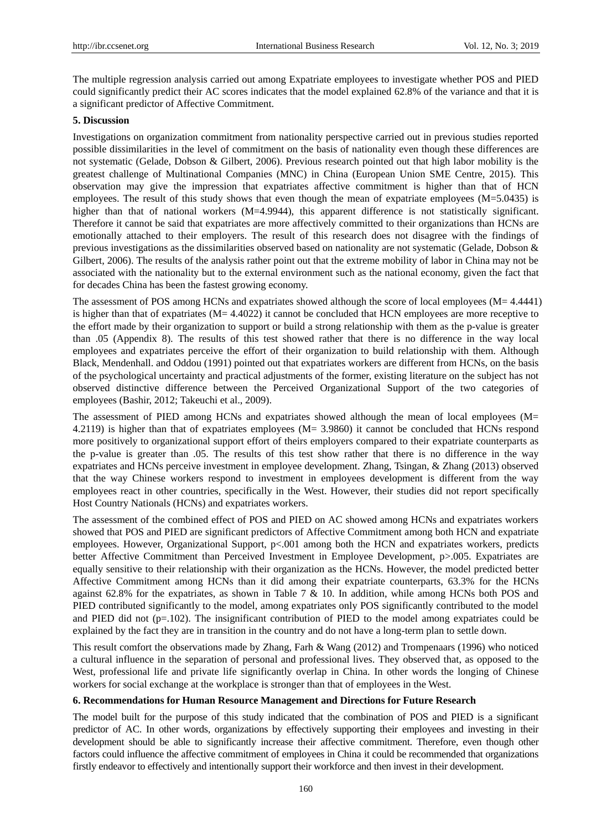The multiple regression analysis carried out among Expatriate employees to investigate whether POS and PIED could significantly predict their AC scores indicates that the model explained 62.8% of the variance and that it is a significant predictor of Affective Commitment.

# **5. Discussion**

Investigations on organization commitment from nationality perspective carried out in previous studies reported possible dissimilarities in the level of commitment on the basis of nationality even though these differences are not systematic (Gelade, Dobson & Gilbert, 2006). Previous research pointed out that high labor mobility is the greatest challenge of Multinational Companies (MNC) in China (European Union SME Centre, 2015). This observation may give the impression that expatriates affective commitment is higher than that of HCN employees. The result of this study shows that even though the mean of expatriate employees (M=5.0435) is higher than that of national workers (M=4.9944), this apparent difference is not statistically significant. Therefore it cannot be said that expatriates are more affectively committed to their organizations than HCNs are emotionally attached to their employers. The result of this research does not disagree with the findings of previous investigations as the dissimilarities observed based on nationality are not systematic (Gelade, Dobson & Gilbert, 2006). The results of the analysis rather point out that the extreme mobility of labor in China may not be associated with the nationality but to the external environment such as the national economy, given the fact that for decades China has been the fastest growing economy.

The assessment of POS among HCNs and expatriates showed although the score of local employees (M= 4.4441) is higher than that of expatriates (M= 4.4022) it cannot be concluded that HCN employees are more receptive to the effort made by their organization to support or build a strong relationship with them as the p-value is greater than .05 (Appendix 8). The results of this test showed rather that there is no difference in the way local employees and expatriates perceive the effort of their organization to build relationship with them. Although Black, Mendenhall. and Oddou (1991) pointed out that expatriates workers are different from HCNs, on the basis of the psychological uncertainty and practical adjustments of the former, existing literature on the subject has not observed distinctive difference between the Perceived Organizational Support of the two categories of employees (Bashir, 2012; Takeuchi et al., 2009).

The assessment of PIED among HCNs and expatriates showed although the mean of local employees (M= 4.2119) is higher than that of expatriates employees (M= 3.9860) it cannot be concluded that HCNs respond more positively to organizational support effort of theirs employers compared to their expatriate counterparts as the p-value is greater than .05. The results of this test show rather that there is no difference in the way expatriates and HCNs perceive investment in employee development. Zhang, Tsingan, & Zhang (2013) observed that the way Chinese workers respond to investment in employees development is different from the way employees react in other countries, specifically in the West. However, their studies did not report specifically Host Country Nationals (HCNs) and expatriates workers.

The assessment of the combined effect of POS and PIED on AC showed among HCNs and expatriates workers showed that POS and PIED are significant predictors of Affective Commitment among both HCN and expatriate employees. However, Organizational Support, p<.001 among both the HCN and expatriates workers, predicts better Affective Commitment than Perceived Investment in Employee Development, p>.005. Expatriates are equally sensitive to their relationship with their organization as the HCNs. However, the model predicted better Affective Commitment among HCNs than it did among their expatriate counterparts, 63.3% for the HCNs against 62.8% for the expatriates, as shown in Table 7 & 10. In addition, while among HCNs both POS and PIED contributed significantly to the model, among expatriates only POS significantly contributed to the model and PIED did not (p=.102). The insignificant contribution of PIED to the model among expatriates could be explained by the fact they are in transition in the country and do not have a long-term plan to settle down.

This result comfort the observations made by Zhang, Farh & Wang (2012) and Trompenaars (1996) who noticed a cultural influence in the separation of personal and professional lives. They observed that, as opposed to the West, professional life and private life significantly overlap in China. In other words the longing of Chinese workers for social exchange at the workplace is stronger than that of employees in the West.

## **6. Recommendations for Human Resource Management and Directions for Future Research**

The model built for the purpose of this study indicated that the combination of POS and PIED is a significant predictor of AC. In other words, organizations by effectively supporting their employees and investing in their development should be able to significantly increase their affective commitment. Therefore, even though other factors could influence the affective commitment of employees in China it could be recommended that organizations firstly endeavor to effectively and intentionally support their workforce and then invest in their development.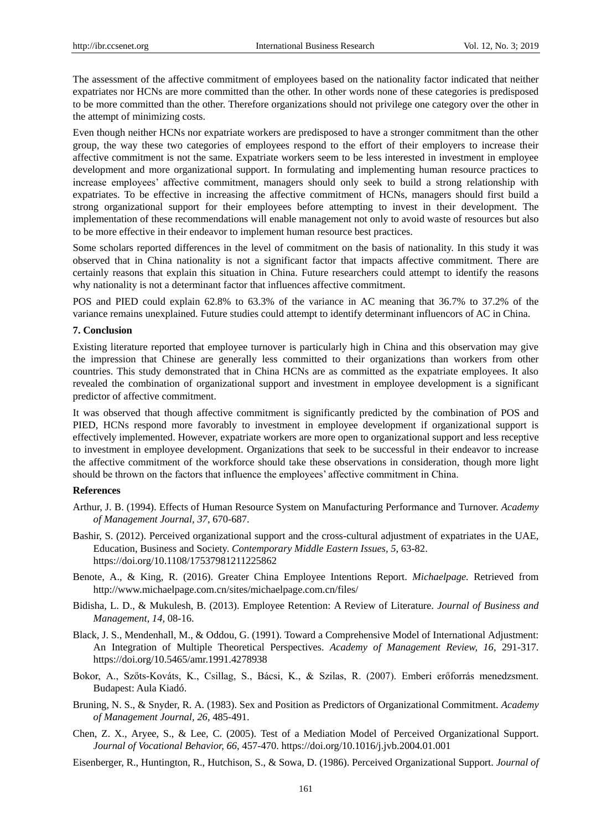The assessment of the affective commitment of employees based on the nationality factor indicated that neither expatriates nor HCNs are more committed than the other. In other words none of these categories is predisposed to be more committed than the other. Therefore organizations should not privilege one category over the other in the attempt of minimizing costs.

Even though neither HCNs nor expatriate workers are predisposed to have a stronger commitment than the other group, the way these two categories of employees respond to the effort of their employers to increase their affective commitment is not the same. Expatriate workers seem to be less interested in investment in employee development and more organizational support. In formulating and implementing human resource practices to increase employees' affective commitment, managers should only seek to build a strong relationship with expatriates. To be effective in increasing the affective commitment of HCNs, managers should first build a strong organizational support for their employees before attempting to invest in their development. The implementation of these recommendations will enable management not only to avoid waste of resources but also to be more effective in their endeavor to implement human resource best practices.

Some scholars reported differences in the level of commitment on the basis of nationality. In this study it was observed that in China nationality is not a significant factor that impacts affective commitment. There are certainly reasons that explain this situation in China. Future researchers could attempt to identify the reasons why nationality is not a determinant factor that influences affective commitment.

POS and PIED could explain 62.8% to 63.3% of the variance in AC meaning that 36.7% to 37.2% of the variance remains unexplained. Future studies could attempt to identify determinant influencors of AC in China.

#### **7. Conclusion**

Existing literature reported that employee turnover is particularly high in China and this observation may give the impression that Chinese are generally less committed to their organizations than workers from other countries. This study demonstrated that in China HCNs are as committed as the expatriate employees. It also revealed the combination of organizational support and investment in employee development is a significant predictor of affective commitment.

It was observed that though affective commitment is significantly predicted by the combination of POS and PIED, HCNs respond more favorably to investment in employee development if organizational support is effectively implemented. However, expatriate workers are more open to organizational support and less receptive to investment in employee development. Organizations that seek to be successful in their endeavor to increase the affective commitment of the workforce should take these observations in consideration, though more light should be thrown on the factors that influence the employees' affective commitment in China.

# **References**

- Arthur, J. B. (1994). Effects of Human Resource System on Manufacturing Performance and Turnover. *Academy of Management Journal, 37*, 670-687.
- Bashir, S. (2012). Perceived organizational support and the cross-cultural adjustment of expatriates in the UAE, Education, Business and Society. *Contemporary Middle Eastern Issues, 5*, 63-82. https://doi.org/10.1108/17537981211225862
- Benote, A., & King, R. (2016). Greater China Employee Intentions Report. *Michaelpage.* Retrieved from http://www.michaelpage.com.cn/sites/michaelpage.com.cn/files/
- Bidisha, L. D., & Mukulesh, B. (2013). Employee Retention: A Review of Literature. *Journal of Business and Management, 14,* 08-16.
- Black, J. S., Mendenhall, M., & Oddou, G. (1991). Toward a Comprehensive Model of International Adjustment: An Integration of Multiple Theoretical Perspectives. *Academy of Management Review, 16*, 291-317. https://doi.org/10.5465/amr.1991.4278938
- Bokor, A., Szőts-Kováts, K., Csillag, S., Bácsi, K., & Szilas, R. (2007). Emberi erőforrás menedzsment. Budapest: Aula Kiadó.
- Bruning, N. S., & Snyder, R. A. (1983). Sex and Position as Predictors of Organizational Commitment. *Academy of Management Journal, 26,* 485-491.
- Chen, Z. X., Aryee, S., & Lee, C. (2005). Test of a Mediation Model of Perceived Organizational Support. *Journal of Vocational Behavior, 66*, 457-470. https://doi.org/10.1016/j.jvb.2004.01.001
- Eisenberger, R., Huntington, R., Hutchison, S., & Sowa, D. (1986). Perceived Organizational Support. *Journal of*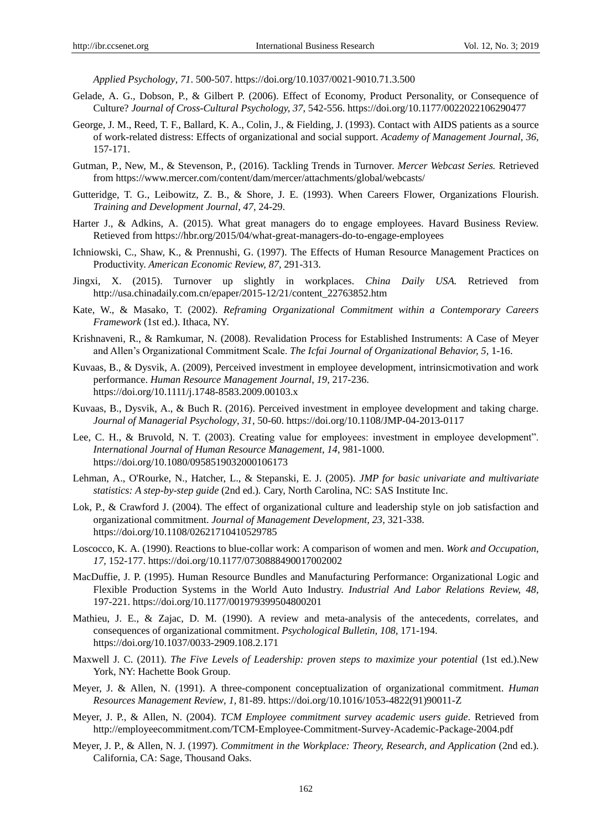*Applied Psychology*, *71*. 500-507. https://doi.org/10.1037/0021-9010.71.3.500

- Gelade, A. G., Dobson, P., & Gilbert P. (2006). Effect of Economy, Product Personality, or Consequence of Culture? *Journal of Cross-Cultural Psychology, 37*, 542-556. https://doi.org/10.1177/0022022106290477
- George, J. M., Reed, T. F., Ballard, K. A., Colin, J., & Fielding, J. (1993). Contact with AIDS patients as a source of work-related distress: Effects of organizational and social support. *Academy of Management Journal*, *36*, 157-171.
- Gutman, P., New, M., & Stevenson, P., (2016). Tackling Trends in Turnover. *Mercer Webcast Series.* Retrieved from https://www.mercer.com/content/dam/mercer/attachments/global/webcasts/
- Gutteridge, T. G., Leibowitz, Z. B., & Shore, J. E. (1993). When Careers Flower, Organizations Flourish. *Training and Development Journal, 47*, 24-29.
- Harter J., & Adkins, A. (2015). What great managers do to engage employees. Havard Business Review. Retieved from https://hbr.org/2015/04/what-great-managers-do-to-engage-employees
- Ichniowski, C., Shaw, K., & Prennushi, G. (1997). The Effects of Human Resource Management Practices on Productivity. *American Economic Review, 87,* 291-313.
- Jingxi, X. (2015). Turnover up slightly in workplaces. *China Daily USA.* Retrieved from [http://usa.chinadaily.com.cn/epaper/2015-12/21/content\\_22763852.htm](http://usa.chinadaily.com.cn/epaper/2015-12/21/content_22763852.htm)
- Kate, W., & Masako, T. (2002). *Reframing Organizational Commitment within a Contemporary Careers Framework* (1st ed.). Ithaca, NY.
- Krishnaveni, R., & Ramkumar, N. (2008). Revalidation Process for Established Instruments: A Case of Meyer and Allen's Organizational Commitment Scale. *The Icfai Journal of Organizational Behavior, 5,* 1-16.
- Kuvaas, B., & Dysvik, A. (2009), Perceived investment in employee development, intrinsicmotivation and work performance. *Human Resource Management Journal*, *19,* 217-236. https://doi.org/10.1111/j.1748-8583.2009.00103.x
- Kuvaas, B., Dysvik, A., & Buch R. (2016). Perceived investment in employee development and taking charge. *Journal of Managerial Psychology*, *31*, 50-60. https://doi.org/10.1108/JMP-04-2013-0117
- Lee, C. H., & Bruvold, N. T. (2003). Creating value for employees: investment in employee development". *International Journal of Human Resource Management*, *14,* 981-1000. https://doi.org/10.1080/0958519032000106173
- Lehman, A., O'Rourke, N., Hatcher, L., & Stepanski, E. J. (2005). *JMP for basic univariate and multivariate statistics: A step-by-step guide* (2nd ed.)*.* Cary, North Carolina, NC: SAS Institute Inc.
- Lok, P., & Crawford J. (2004). The effect of organizational culture and leadership style on job satisfaction and organizational commitment. *Journal of Management Development, 23*, 321-338. https://doi.org/10.1108/02621710410529785
- Loscocco, K. A. (1990). Reactions to blue-collar work: A comparison of women and men. *Work and Occupation, 17,* 152-177. https://doi.org/10.1177/0730888490017002002
- MacDuffie, J. P. (1995). Human Resource Bundles and Manufacturing Performance: Organizational Logic and Flexible Production Systems in the World Auto Industry. *Industrial And Labor Relations Review, 48*, 197-221. https://doi.org/10.1177/001979399504800201
- Mathieu, J. E., & Zajac, D. M. (1990). A review and meta-analysis of the antecedents, correlates, and consequences of organizational commitment. *Psychological Bulletin, 108,* 171-194. https://doi.org/10.1037/0033-2909.108.2.171
- Maxwell J. C. (2011). *The Five Levels of Leadership: proven steps to maximize your potential* (1st ed.).New York, NY: Hachette Book Group.
- Meyer, J. & Allen, N. (1991). A three-component conceptualization of organizational commitment. *Human Resources Management Review, 1,* 81-89. https://doi.org/10.1016/1053-4822(91)90011-Z
- Meyer, J. P., & Allen, N. (2004). *TCM Employee commitment survey academic users guide*. Retrieved from http://employeecommitment.com/TCM-Employee-Commitment-Survey-Academic-Package-2004.pdf
- Meyer, J. P., & Allen, N. J. (1997). *Commitment in the Workplace: Theory, Research, and Application* (2nd ed.). California, CA: Sage, Thousand Oaks.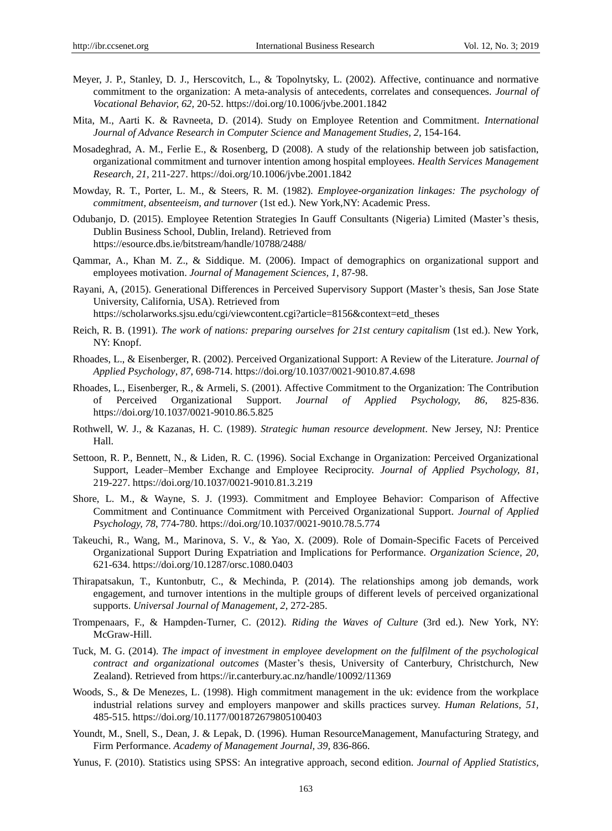- Meyer, J. P., Stanley, D. J., Herscovitch, L., & Topolnytsky, L. (2002). Affective, continuance and normative commitment to the organization: A meta-analysis of antecedents, correlates and consequences. *Journal of Vocational Behavior, 62,* 20-52. https://doi.org/10.1006/jvbe.2001.1842
- Mita, M., Aarti K. & Ravneeta, D. (2014). Study on Employee Retention and Commitment. *International Journal of Advance Research in Computer Science and Management Studies, 2,* 154-164.
- Mosadeghrad, A. M., Ferlie E., & Rosenberg, D (2008). A study of the relationship between job satisfaction, organizational commitment and turnover intention among hospital employees. *Health Services Management Research, 21,* 211-227. https://doi.org/10.1006/jvbe.2001.1842
- Mowday, R. T., Porter, L. M., & Steers, R. M. (1982). *Employee-organization linkages: The psychology of commitment, absenteeism, and turnover* (1st ed.). New York,NY: Academic Press.
- Odubanjo, D. (2015). Employee Retention Strategies In Gauff Consultants (Nigeria) Limited (Master's thesis, Dublin Business School, Dublin, Ireland). Retrieved from https://esource.dbs.ie/bitstream/handle/10788/2488/
- Qammar, A., Khan M. Z., & Siddique. M. (2006). Impact of demographics on organizational support and employees motivation. *Journal of Management Sciences, 1*, 87-98.
- Rayani, A, (2015). Generational Differences in Perceived Supervisory Support (Master's thesis, San Jose State University, California, USA). Retrieved from https://scholarworks.sjsu.edu/cgi/viewcontent.cgi?article=8156&context=etd\_theses
- Reich, R. B. (1991). *The work of nations: preparing ourselves for 21st century capitalism* (1st ed.). New York, NY: Knopf.
- Rhoades, L., & Eisenberger, R. (2002). Perceived Organizational Support: A Review of the Literature. *Journal of Applied Psychology*, *87*, 698-714. https://doi.org/10.1037/0021-9010.87.4.698
- Rhoades, L., Eisenberger, R., & Armeli, S. (2001). Affective Commitment to the Organization: The Contribution of Perceived Organizational Support. *Journal of Applied Psychology, 86*, 825-836. https://doi.org/10.1037/0021-9010.86.5.825
- Rothwell, W. J., & Kazanas, H. C. (1989). *Strategic human resource development*. New Jersey, NJ: Prentice Hall.
- Settoon, R. P., Bennett, N., & Liden, R. C. (1996). Social Exchange in Organization: Perceived Organizational Support, Leader–Member Exchange and Employee Reciprocity. *Journal of Applied Psychology, 81*, 219-227. https://doi.org/10.1037/0021-9010.81.3.219
- Shore, L. M., & Wayne, S. J. (1993). Commitment and Employee Behavior: Comparison of Affective Commitment and Continuance Commitment with Perceived Organizational Support. *Journal of Applied Psychology, 78*, 774-780. https://doi.org/10.1037/0021-9010.78.5.774
- Takeuchi, R., Wang, M., Marinova, S. V., & Yao, X. (2009). Role of Domain-Specific Facets of Perceived Organizational Support During Expatriation and Implications for Performance. *Organization Science, 20,*  621-634. https://doi.org/10.1287/orsc.1080.0403
- Thirapatsakun, T., Kuntonbutr, C., & Mechinda, P. (2014). The relationships among job demands, work engagement, and turnover intentions in the multiple groups of different levels of perceived organizational supports. *Universal Journal of Management, 2,* 272-285.
- Trompenaars, F., & Hampden-Turner, C. (2012). *Riding the Waves of Culture* (3rd ed.). New York, NY: McGraw-Hill.
- Tuck, M. G. (2014). *The impact of investment in employee development on the fulfilment of the psychological contract and organizational outcomes* (Master's thesis, University of Canterbury, Christchurch, New Zealand). Retrieved from https://ir.canterbury.ac.nz/handle/10092/11369
- Woods, S., & De Menezes, L. (1998). High commitment management in the uk: evidence from the workplace industrial relations survey and employers manpower and skills practices survey. *Human Relations, 51,* 485-515. https://doi.org/10.1177/001872679805100403
- Youndt, M., Snell, S., Dean, J. & Lepak, D. (1996). Human ResourceManagement, Manufacturing Strategy, and Firm Performance. *Academy of Management Journal, 39,* 836-866.
- Yunus, F. (2010). Statistics using SPSS: An integrative approach, second edition. *Journal of Applied Statistics,*